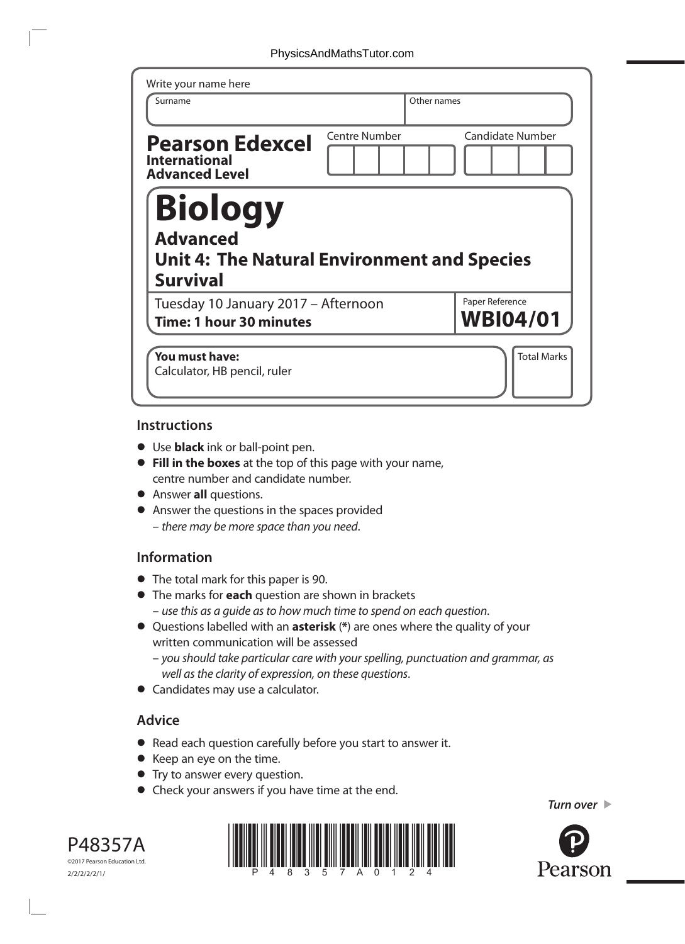| Write your name here<br>Surname                                                                            | Other names   |                                    |
|------------------------------------------------------------------------------------------------------------|---------------|------------------------------------|
|                                                                                                            |               |                                    |
| <b>Pearson Edexcel</b><br><b>International</b><br><b>Advanced Level</b>                                    | Centre Number | <b>Candidate Number</b>            |
| <b>Biology</b><br><b>Advanced</b><br><b>Unit 4: The Natural Environment and Species</b><br><b>Survival</b> |               |                                    |
| Tuesday 10 January 2017 - Afternoon<br><b>Time: 1 hour 30 minutes</b>                                      |               | Paper Reference<br><b>WBI04/01</b> |
| You must have:<br>Calculator, HB pencil, ruler                                                             |               | <b>Total Marks</b>                 |

### **Instructions**

- **•** Use **black** ink or ball-point pen.
- **• Fill in the boxes** at the top of this page with your name, centre number and candidate number.
- **•** Answer **all** questions.
- **•** Answer the questions in the spaces provided – *there may be more space than you need*.

# **Information**

- **•** The total mark for this paper is 90.
- **•** The marks for **each** question are shown in brackets – *use this as a guide as to how much time to spend on each question*.
- **•** Questions labelled with an **asterisk** (**\***) are ones where the quality of your written communication will be assessed
	- *you should take particular care with your spelling, punctuation and grammar, as well as the clarity of expression, on these questions*.
- **•** Candidates may use a calculator.

# **Advice**

- **•** Read each question carefully before you start to answer it.
- **•** Keep an eye on the time.
- **•** Try to answer every question.
- **•** Check your answers if you have time at the end.





*Turn over* 

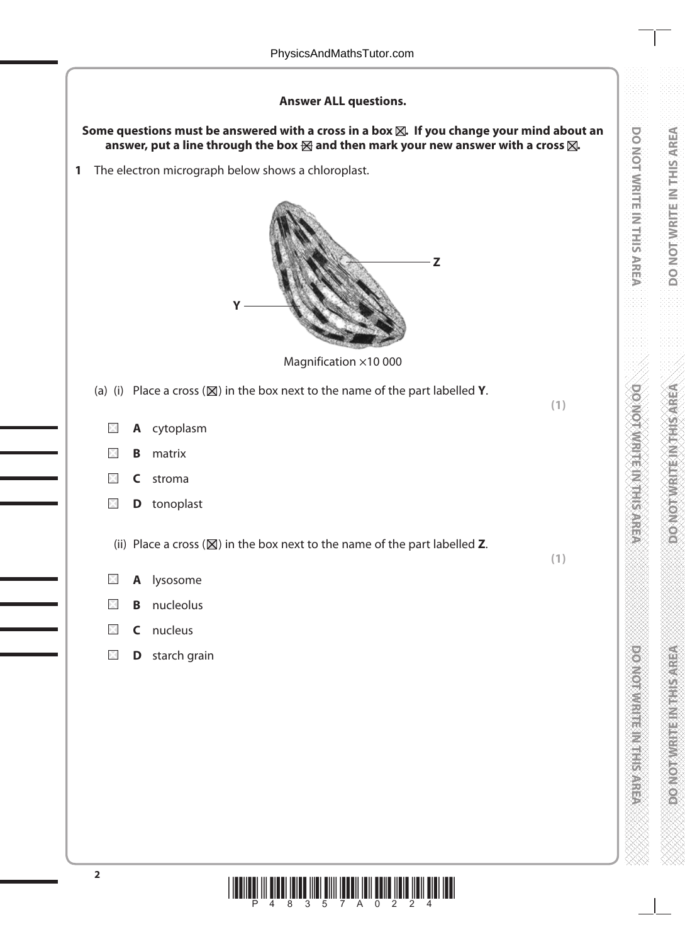# **Answer ALL questions.**

#### **Some questions must be answered with a cross in a box . If you change your mind about an answer, put a line through the box and then mark your new answer with a cross .**

**DO NOT WRITE IN THE INTERNATION** 

DO NOT WRITE IN THIS AREA

**DO NOT WRITE IN THE INTERNATIONAL CONTRACTOR** 

**DO NOT WRITE IN THIS AREA** 

**DO NOT WRITE IN THIS AREA**

**DOMOROTHE MEETING** 

**1** The electron micrograph below shows a chloroplast.



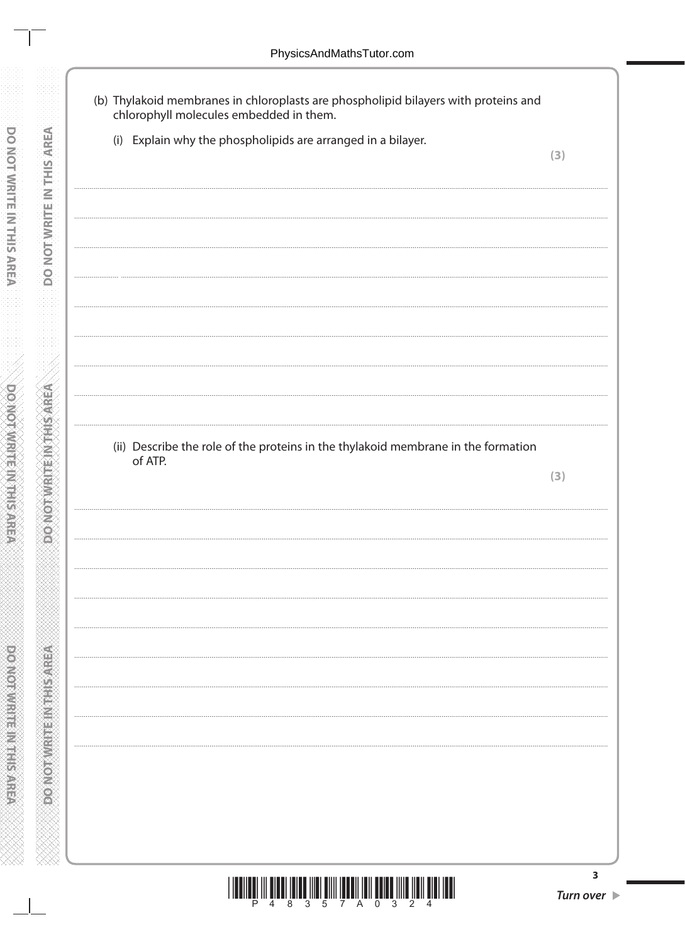- (b) Thylakoid membranes in chloroplasts are phospholipid bilayers with proteins and chlorophyll molecules embedded in them.
	- (i) Explain why the phospholipids are arranged in a bilayer.

(ii) Describe the role of the proteins in the thylakoid membrane in the formation of ATP.

 $(3)$ 

**MONOTAL CHANGE** 

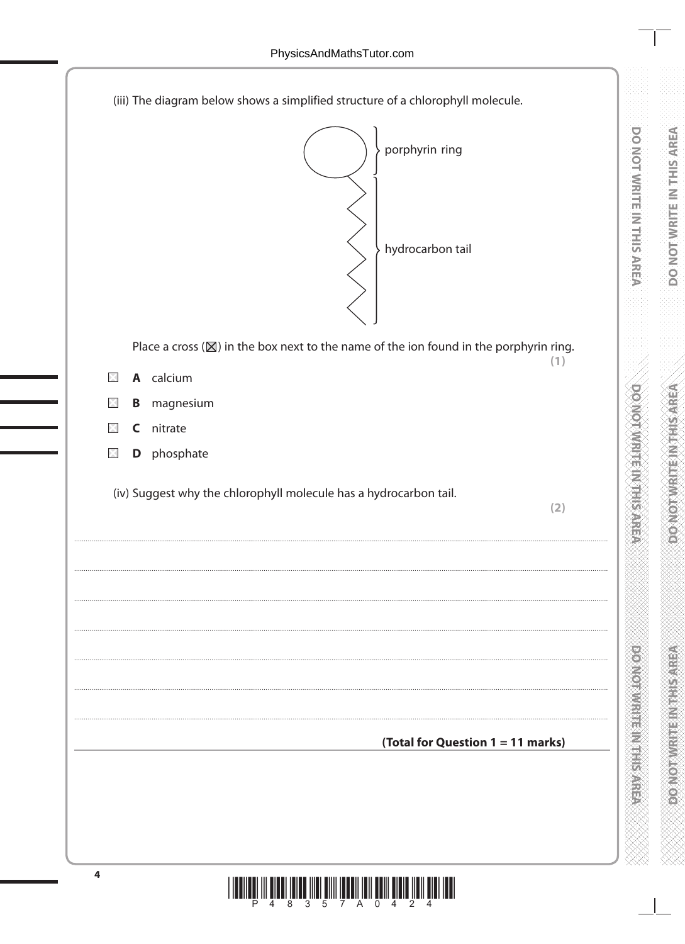**DOMOTAMENMENTSARE** 

**DOOROTHING INTERNATIONAL PROPERTY** 

| (iii) The diagram below shows a simplified structure of a chlorophyll molecule.                         |  |
|---------------------------------------------------------------------------------------------------------|--|
| porphyrin ring<br>hydrocarbon tail                                                                      |  |
| Place a cross $(\mathbb{X})$ in the box next to the name of the ion found in the porphyrin ring.<br>(1) |  |
| A calcium<br>×                                                                                          |  |
| magnesium<br>B<br>X                                                                                     |  |
| nitrate<br>C<br>×                                                                                       |  |
| phosphate<br>D<br>$\times$                                                                              |  |
| (iv) Suggest why the chlorophyll molecule has a hydrocarbon tail.<br>(2)                                |  |
|                                                                                                         |  |
|                                                                                                         |  |
|                                                                                                         |  |
|                                                                                                         |  |
|                                                                                                         |  |
|                                                                                                         |  |
| (Total for Question 1 = 11 marks)                                                                       |  |
|                                                                                                         |  |
|                                                                                                         |  |
|                                                                                                         |  |
|                                                                                                         |  |
|                                                                                                         |  |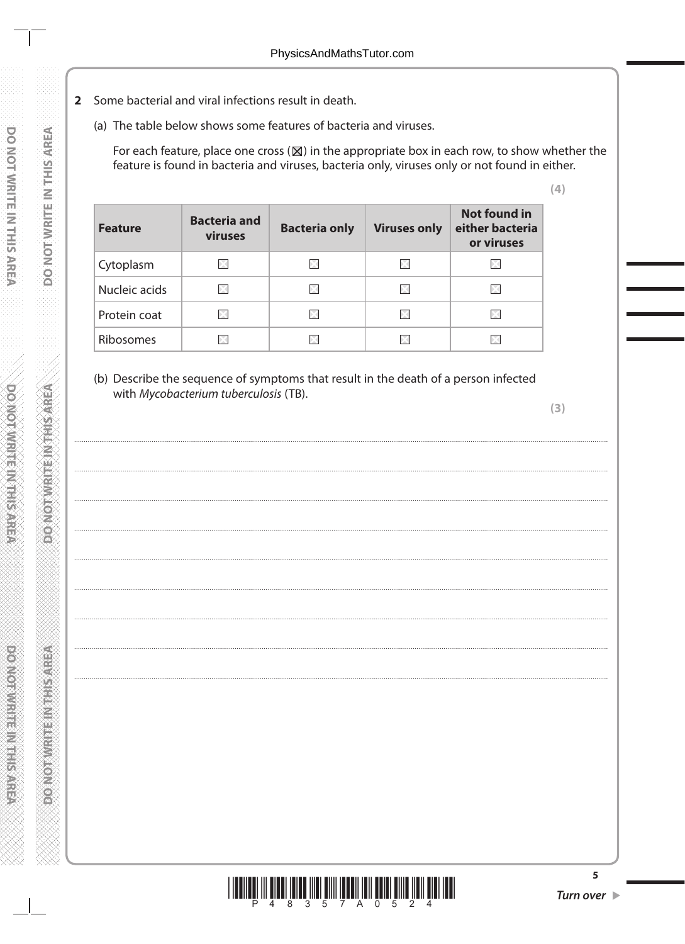- 2 Some bacterial and viral infections result in death.
	- (a) The table below shows some features of bacteria and viruses.

For each feature, place one cross  $(\boxtimes)$  in the appropriate box in each row, to show whether the feature is found in bacteria and viruses, bacteria only, viruses only or not found in either.

| <b>Feature</b>   | <b>Bacteria and</b><br>viruses | <b>Bacteria only</b> | <b>Viruses only</b> | <b>Not found in</b><br>either bacteria<br>or viruses |
|------------------|--------------------------------|----------------------|---------------------|------------------------------------------------------|
| Cytoplasm        |                                |                      |                     |                                                      |
| Nucleic acids    |                                | ÞК                   |                     |                                                      |
| Protein coat     |                                | X                    |                     |                                                      |
| <b>Ribosomes</b> |                                |                      |                     |                                                      |

(b) Describe the sequence of symptoms that result in the death of a person infected with Mycobacterium tuberculosis (TB).

 $(3)$ 

 $(4)$ 



5

**DONOT WRITEIN THIS AREA** 

**PORTOR METHODS CONTENT**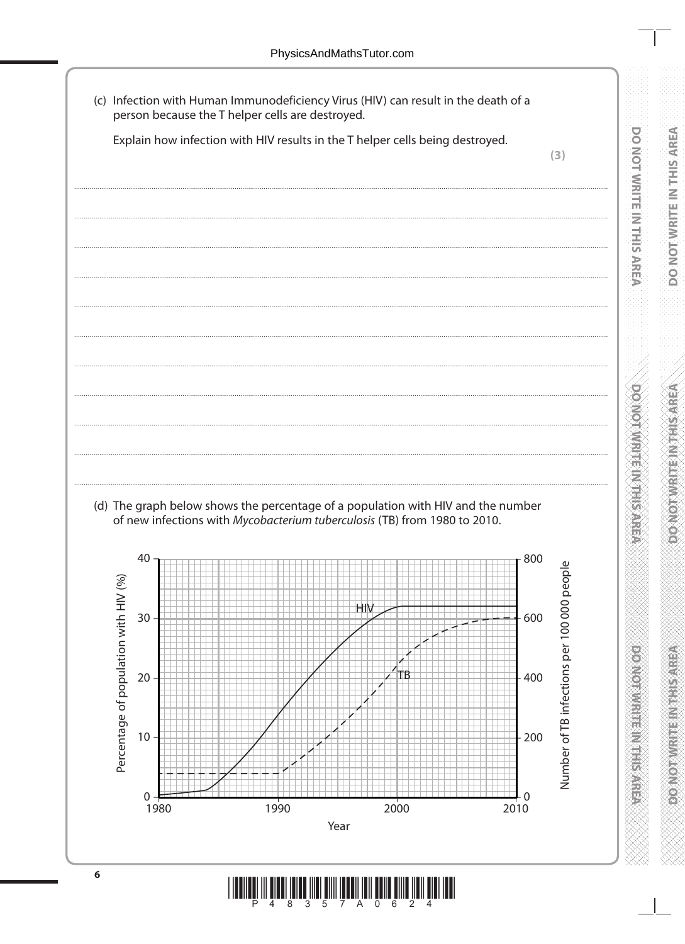(c) Infection with Human Immunodeficiency Virus (HIV) can result in the death of a person because the T helper cells are destroyed.

Explain how infection with HIV results in the T helper cells being destroyed.

**DO MOT WRITEIN THIS AREA** 

**DOMOTAWRITE IN THIS AREA** 

**PONORWANE IN THE SALE** 



"8"

 $\mathcal{B}$  $-5$   $\overline{0}$ 

- A

6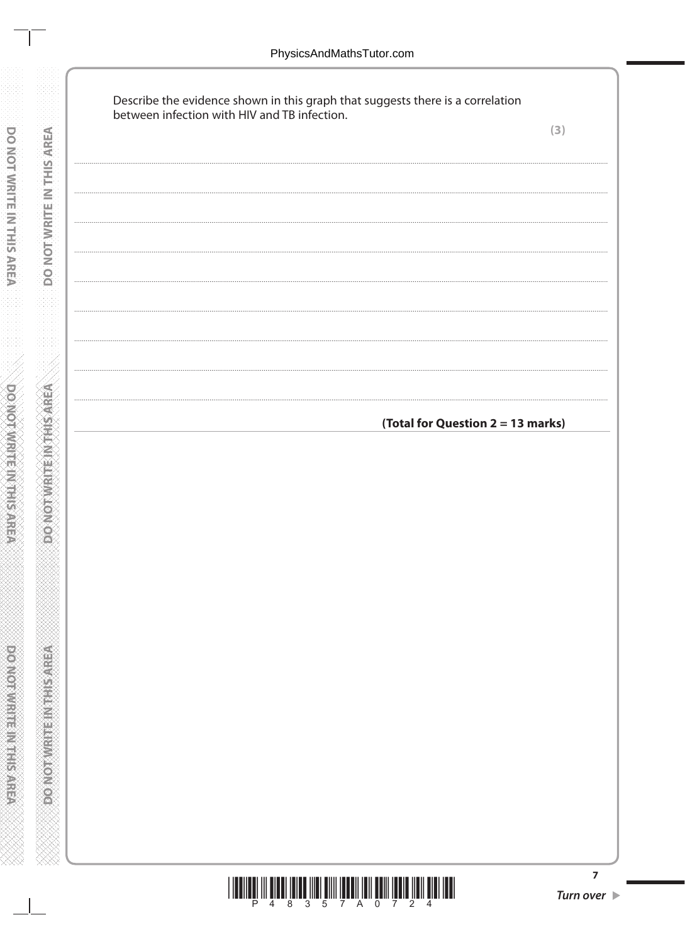**DONOTWRITE IN THIS AREA** 

**DONOTWRITEINITHS AREA** 

|  | Describe the evidence shown in this graph that suggests there is a correlation between infection with HIV and TB infection. | (3) |
|--|-----------------------------------------------------------------------------------------------------------------------------|-----|
|  |                                                                                                                             |     |
|  |                                                                                                                             |     |
|  |                                                                                                                             |     |
|  |                                                                                                                             |     |
|  |                                                                                                                             |     |
|  |                                                                                                                             |     |
|  |                                                                                                                             |     |
|  | (Total for Question 2 = 13 marks)                                                                                           |     |
|  |                                                                                                                             |     |
|  |                                                                                                                             |     |
|  |                                                                                                                             |     |
|  |                                                                                                                             |     |
|  |                                                                                                                             |     |
|  |                                                                                                                             |     |
|  |                                                                                                                             |     |
|  |                                                                                                                             |     |
|  |                                                                                                                             |     |
|  |                                                                                                                             |     |
|  |                                                                                                                             |     |

 $\begin{array}{c} \end{array} \begin{array}{c} \begin{array}{c} \begin{array}{c} \begin{array}{c} \begin{array}{c} \end{array} \\ \begin{array}{c} \end{array} \\ \begin{array}{c} \end{array} \\ \begin{array}{c} \end{array} \\ \begin{array}{c} \end{array} \\ \begin{array}{c} \end{array} \\ \begin{array}{c} \end{array} \\ \begin{array}{c} \end{array} \\ \begin{array}{c} \end{array} \\ \begin{array}{c} \end{array} \\ \begin{array}{c} \end{array} \\ \begin{array}{c} \end{array} \\ \begin{array}{c} \end{array} \\ \begin{array}{c} \end{array$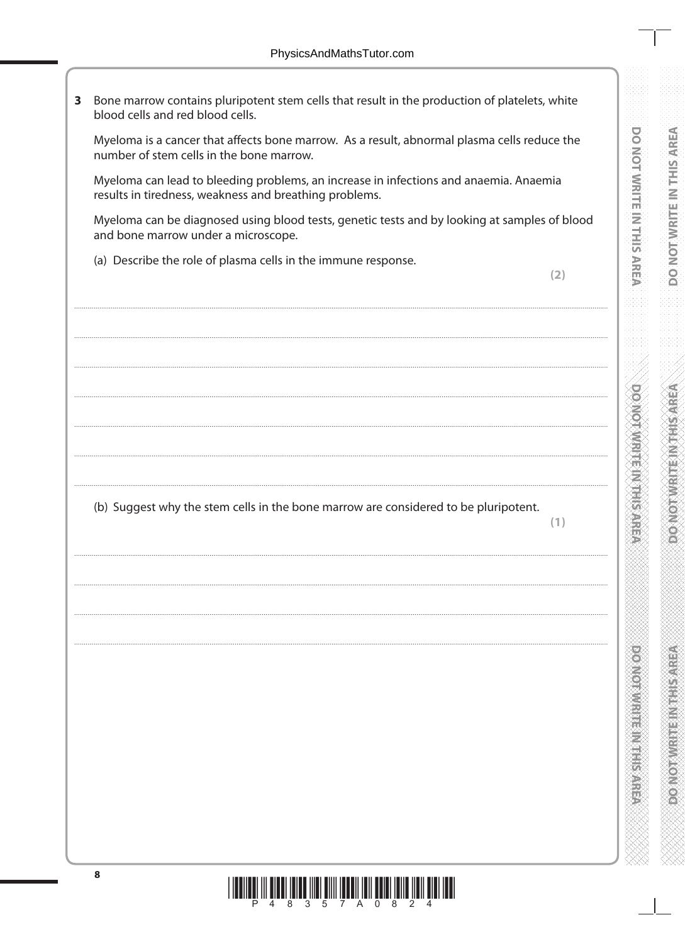Bone marrow contains pluripotent stem cells that result in the production of platelets, white  $3<sup>7</sup>$ blood cells and red blood cells.

Myeloma is a cancer that affects bone marrow. As a result, abnormal plasma cells reduce the number of stem cells in the bone marrow.

Myeloma can lead to bleeding problems, an increase in infections and anaemia. Anaemia results in tiredness, weakness and breathing problems.

Myeloma can be diagnosed using blood tests, genetic tests and by looking at samples of blood and bone marrow under a microscope.

(a) Describe the role of plasma cells in the immune response.

 $(2)$ 

(b) Suggest why the stem cells in the bone marrow are considered to be pluripotent.

 $(1)$ 

**DOINOT WRITEIN TEINS AREA** 

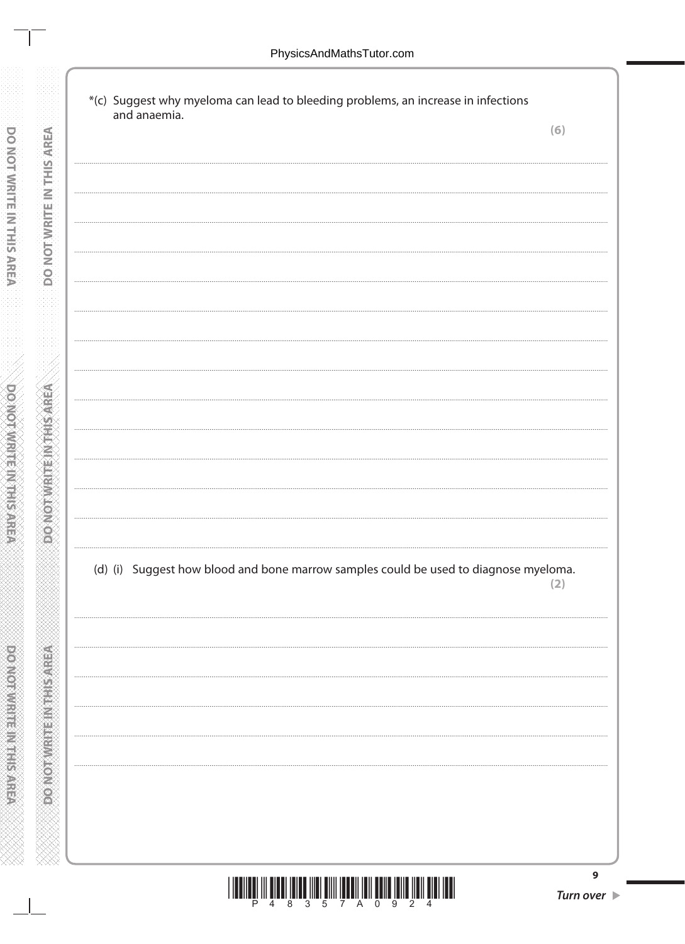**DONOT WRITE IN THIS AREA** 

**MONOTAL CHANGE** 

\*(c) Suggest why myeloma can lead to bleeding problems, an increase in infections and anaemia.  $(6)$ (d) (i) Suggest how blood and bone marrow samples could be used to diagnose myeloma.  $(2)$  $\overline{9}$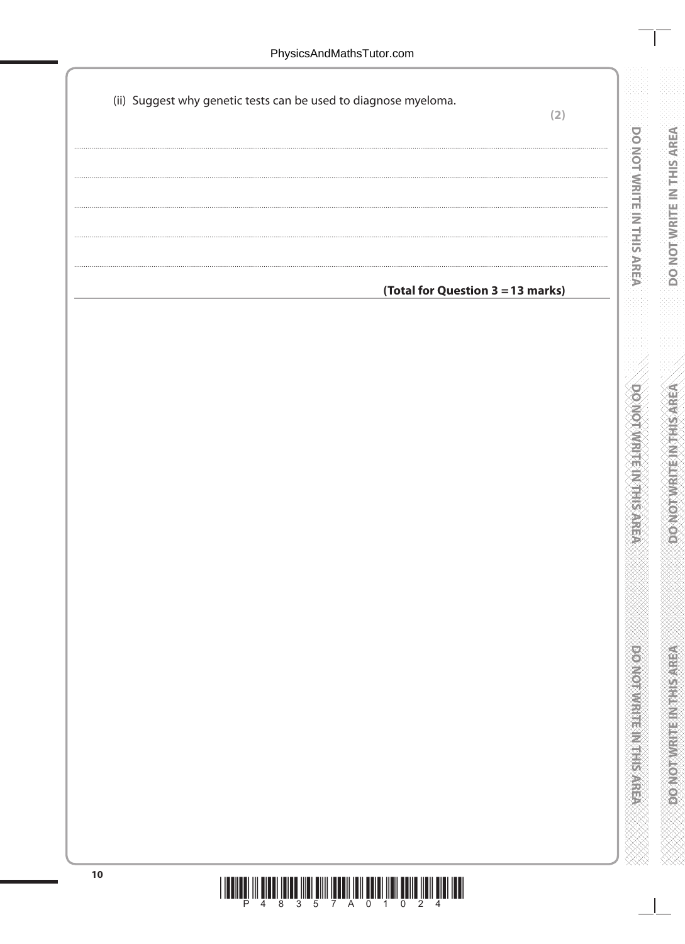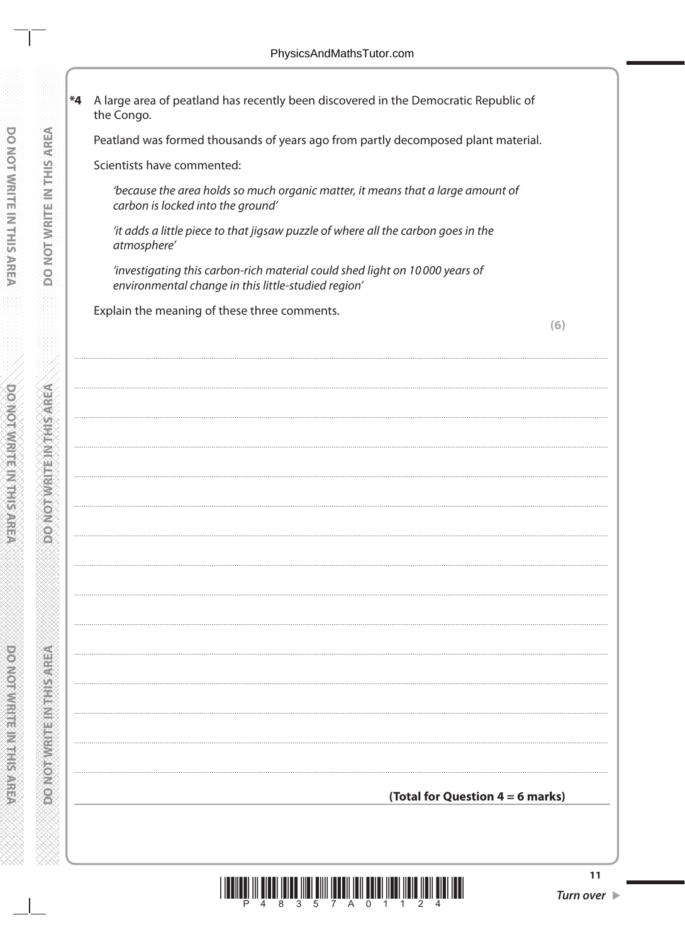\*4 A large area of peatland has recently been discovered in the Democratic Republic of the Congo. Peatland was formed thousands of years ago from partly decomposed plant material. Scientists have commented: 'because the area holds so much organic matter, it means that a large amount of carbon is locked into the ground' 'it adds a little piece to that jigsaw puzzle of where all the carbon goes in the atmosphere' 'investigating this carbon-rich material could shed light on 10000 years of environmental change in this little-studied region' Explain the meaning of these three comments.  $(6)$ 



**RESIDENT RESIDENCE**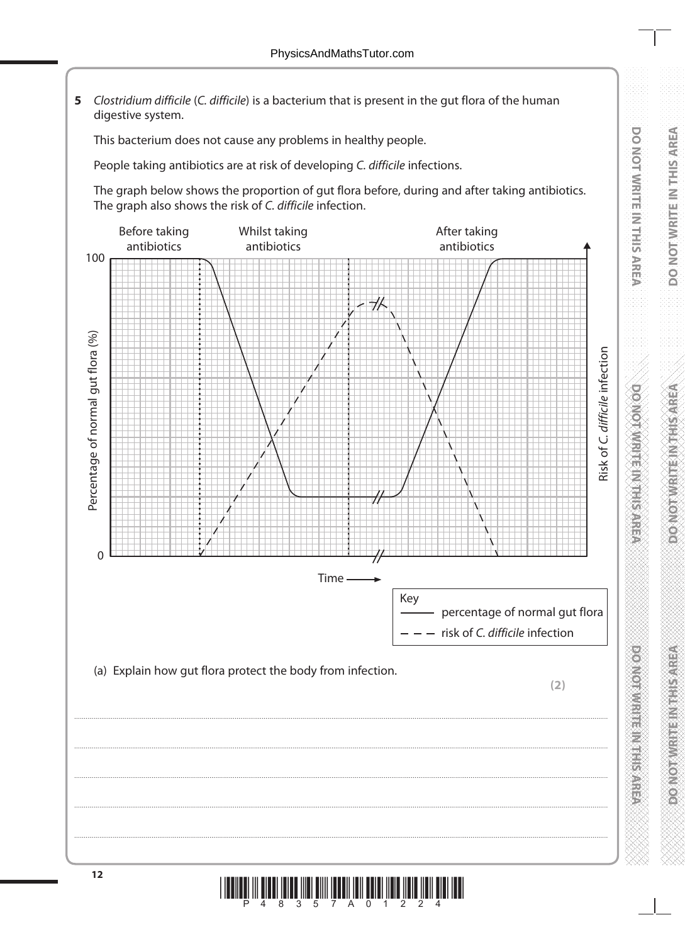**5** *Clostridium difficile* (*C. difficile*) is a bacterium that is present in the gut flora of the human digestive system.

This bacterium does not cause any problems in healthy people.

People taking antibiotics are at risk of developing *C. difficile* infections.

The graph below shows the proportion of gut flora before, during and after taking antibiotics. The graph also shows the risk of *C. difficile* infection.



**DO NOT WRITE IN THIS AREA**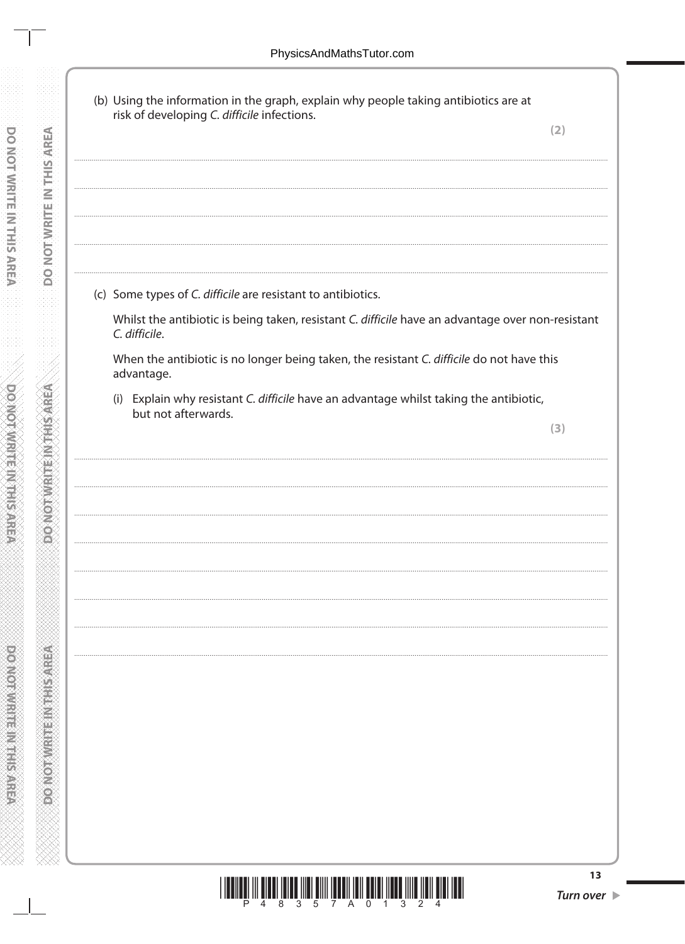**DO NOT WRITE IN THIS AREA** 

**DONOT WRITE INTHIS AREA** 

| risk of developing C. difficile infections.                                                                        | (2) |
|--------------------------------------------------------------------------------------------------------------------|-----|
|                                                                                                                    |     |
|                                                                                                                    |     |
|                                                                                                                    |     |
|                                                                                                                    |     |
| (c) Some types of C. difficile are resistant to antibiotics.                                                       |     |
| Whilst the antibiotic is being taken, resistant C. difficile have an advantage over non-resistant<br>C. difficile. |     |
| When the antibiotic is no longer being taken, the resistant C. difficile do not have this<br>advantage.            |     |
| (i) Explain why resistant C. difficile have an advantage whilst taking the antibiotic,<br>but not afterwards.      |     |
|                                                                                                                    | (3) |
|                                                                                                                    |     |
|                                                                                                                    |     |
|                                                                                                                    |     |
|                                                                                                                    |     |
|                                                                                                                    |     |
|                                                                                                                    |     |
|                                                                                                                    |     |
|                                                                                                                    |     |
|                                                                                                                    |     |
|                                                                                                                    |     |
|                                                                                                                    |     |
|                                                                                                                    |     |
|                                                                                                                    |     |
|                                                                                                                    |     |
|                                                                                                                    |     |
| <u>HII IIII IIII III</u><br>Ш                                                                                      |     |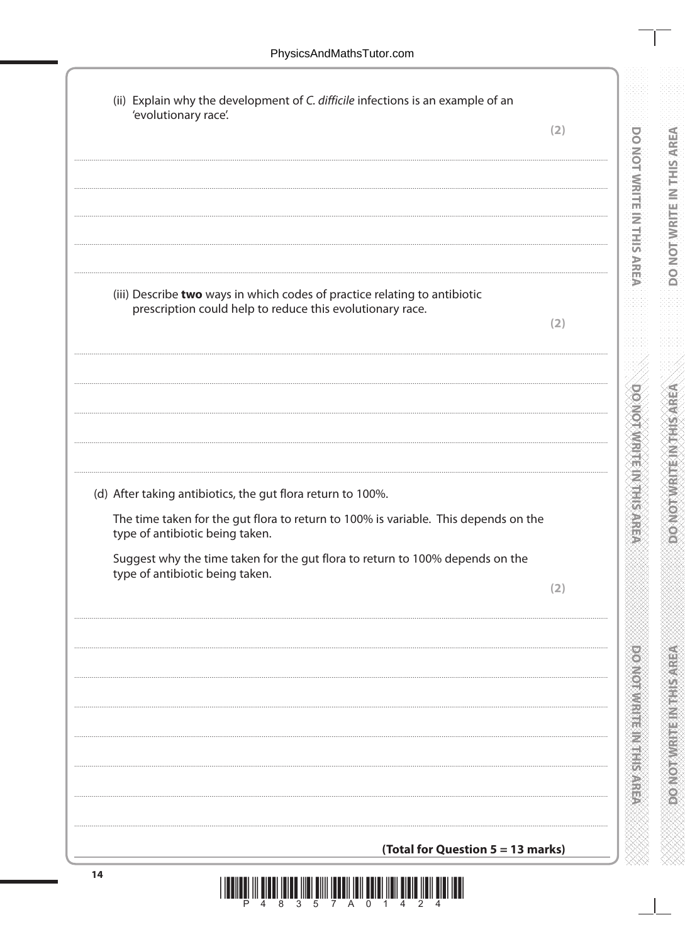| (ii) Explain why the development of C. difficile infections is an example of an<br>'evolutionary race'.                |     |
|------------------------------------------------------------------------------------------------------------------------|-----|
|                                                                                                                        | (2) |
|                                                                                                                        |     |
|                                                                                                                        |     |
|                                                                                                                        |     |
|                                                                                                                        |     |
|                                                                                                                        |     |
| (iii) Describe two ways in which codes of practice relating to antibiotic                                              |     |
| prescription could help to reduce this evolutionary race.                                                              |     |
|                                                                                                                        | (2) |
|                                                                                                                        |     |
|                                                                                                                        |     |
|                                                                                                                        |     |
|                                                                                                                        |     |
|                                                                                                                        |     |
| (d) After taking antibiotics, the gut flora return to 100%.                                                            |     |
| The time taken for the gut flora to return to 100% is variable. This depends on the<br>type of antibiotic being taken. |     |
| Suggest why the time taken for the gut flora to return to 100% depends on the                                          |     |
| type of antibiotic being taken.                                                                                        | (2) |
|                                                                                                                        |     |
|                                                                                                                        |     |
|                                                                                                                        |     |
|                                                                                                                        |     |
|                                                                                                                        |     |
|                                                                                                                        |     |
|                                                                                                                        |     |
|                                                                                                                        |     |
|                                                                                                                        |     |
|                                                                                                                        |     |
|                                                                                                                        |     |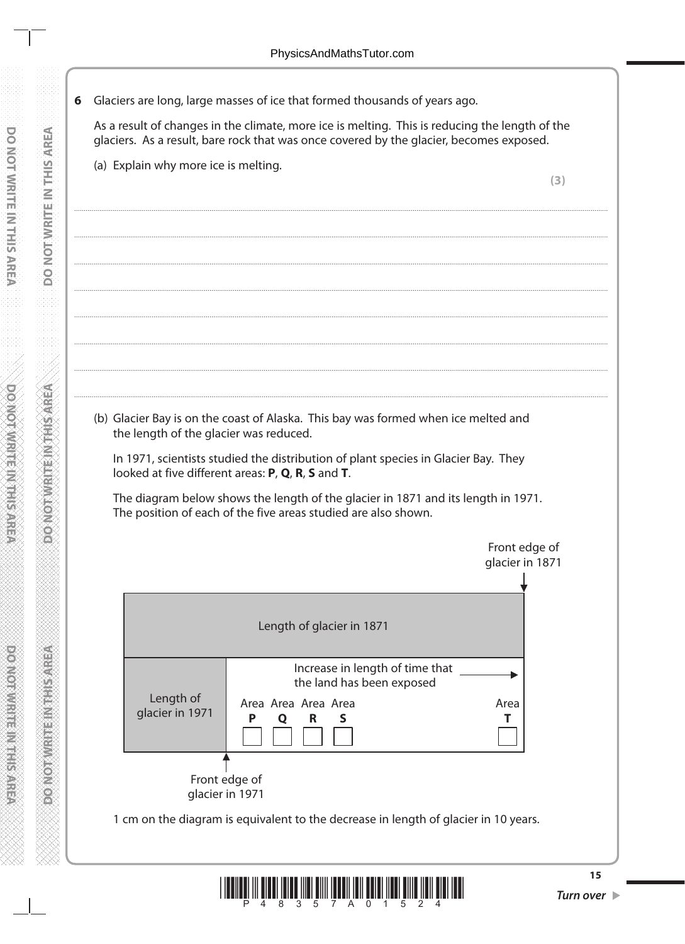6 Glaciers are long, large masses of ice that formed thousands of years ago.

As a result of changes in the climate, more ice is melting. This is reducing the length of the glaciers. As a result, bare rock that was once covered by the glacier, becomes exposed.

(a) Explain why more ice is melting.

 $(3)$ 

(b) Glacier Bay is on the coast of Alaska. This bay was formed when ice melted and the length of the glacier was reduced.

In 1971, scientists studied the distribution of plant species in Glacier Bay. They looked at five different areas: P, Q, R, S and T.

The diagram below shows the length of the glacier in 1871 and its length in 1971. The position of each of the five areas studied are also shown.



1 cm on the diagram is equivalent to the decrease in length of glacier in 10 years.



Turn over  $\blacktriangleright$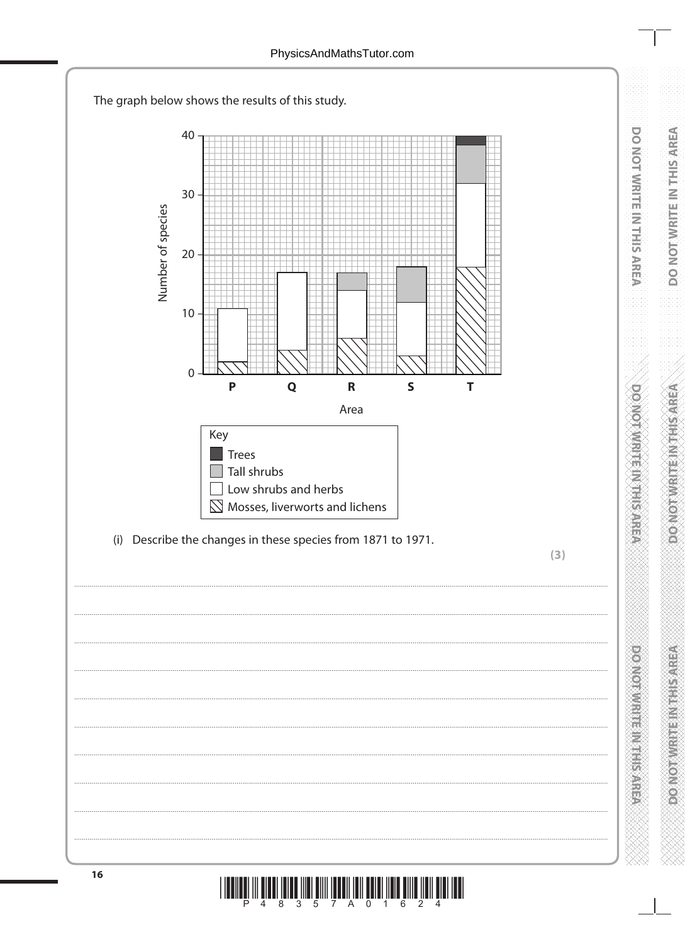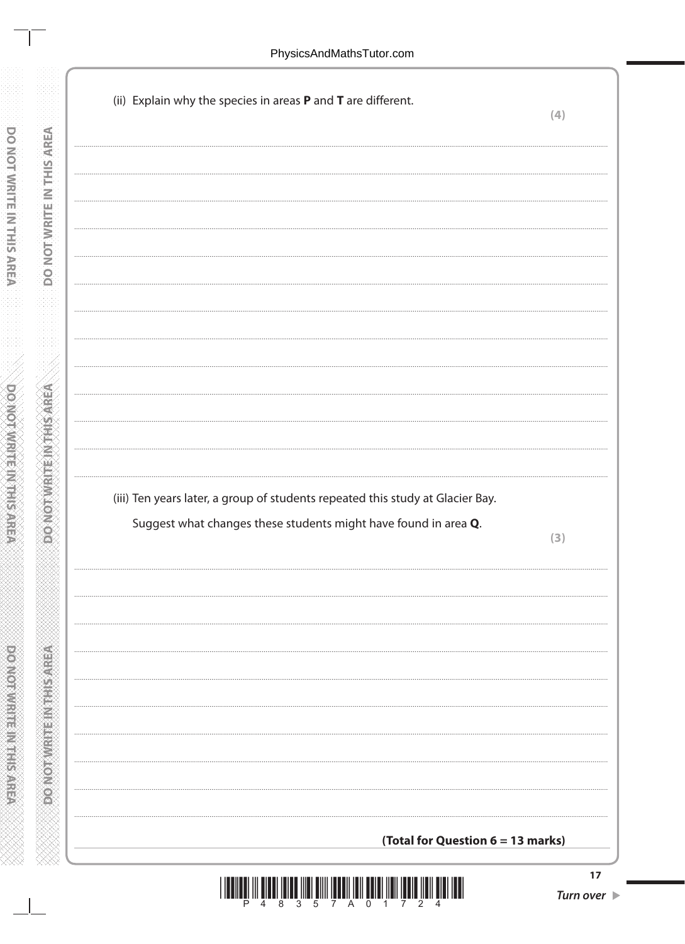**DO NOT WRITE IN THIS AREA** 

**ABBASE IN AN ARRANGEMENT** 

| (ii) Explain why the species in areas P and T are different. |                                                                                                                                                   | (4) |
|--------------------------------------------------------------|---------------------------------------------------------------------------------------------------------------------------------------------------|-----|
|                                                              |                                                                                                                                                   |     |
|                                                              |                                                                                                                                                   |     |
|                                                              |                                                                                                                                                   |     |
|                                                              |                                                                                                                                                   |     |
|                                                              |                                                                                                                                                   |     |
|                                                              |                                                                                                                                                   |     |
|                                                              |                                                                                                                                                   |     |
|                                                              |                                                                                                                                                   |     |
|                                                              |                                                                                                                                                   |     |
|                                                              |                                                                                                                                                   |     |
|                                                              |                                                                                                                                                   |     |
|                                                              |                                                                                                                                                   |     |
|                                                              |                                                                                                                                                   |     |
|                                                              |                                                                                                                                                   |     |
|                                                              |                                                                                                                                                   |     |
|                                                              | (iii) Ten years later, a group of students repeated this study at Glacier Bay.<br>Suggest what changes these students might have found in area Q. | (3) |
|                                                              |                                                                                                                                                   |     |
|                                                              |                                                                                                                                                   |     |
|                                                              |                                                                                                                                                   |     |
|                                                              |                                                                                                                                                   |     |
|                                                              |                                                                                                                                                   |     |
|                                                              |                                                                                                                                                   |     |
|                                                              |                                                                                                                                                   |     |
|                                                              |                                                                                                                                                   |     |
|                                                              |                                                                                                                                                   |     |
|                                                              |                                                                                                                                                   |     |
|                                                              |                                                                                                                                                   |     |

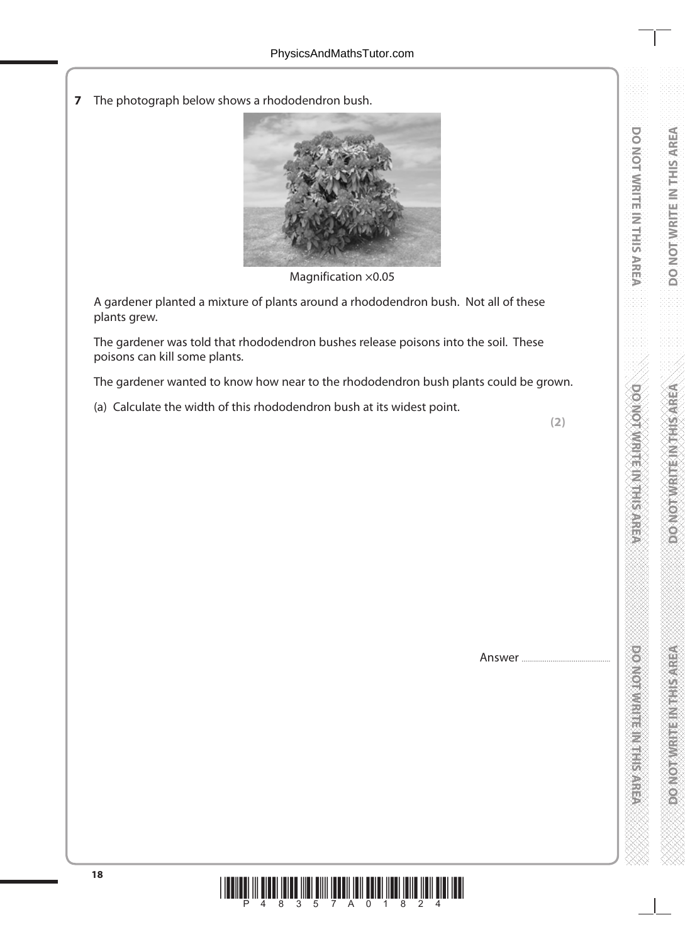**7** The photograph below shows a rhododendron bush.



Magnification  $\times$ 0.05

A gardener planted a mixture of plants around a rhododendron bush. Not all of these plants grew.

The gardener was told that rhododendron bushes release poisons into the soil. These poisons can kill some plants.

The gardener wanted to know how near to the rhododendron bush plants could be grown.

(a) Calculate the width of this rhododendron bush at its widest point.

**(2)** 

Answer ....



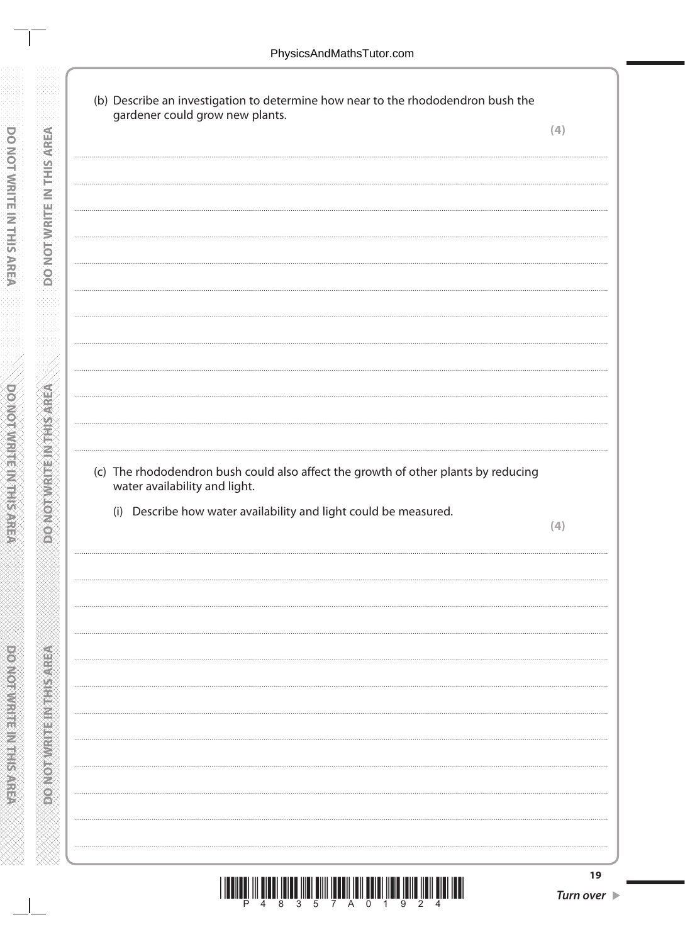DO NOT WRITE IN THIS AREA

**DONOT WRITE INTHIS AREA** 

| gardener could grow new plants.                                                                                     | (4) |
|---------------------------------------------------------------------------------------------------------------------|-----|
|                                                                                                                     |     |
|                                                                                                                     |     |
|                                                                                                                     |     |
|                                                                                                                     |     |
|                                                                                                                     |     |
|                                                                                                                     |     |
|                                                                                                                     |     |
|                                                                                                                     |     |
|                                                                                                                     |     |
|                                                                                                                     |     |
|                                                                                                                     |     |
|                                                                                                                     |     |
|                                                                                                                     |     |
|                                                                                                                     |     |
|                                                                                                                     |     |
|                                                                                                                     |     |
|                                                                                                                     |     |
|                                                                                                                     |     |
| (c) The rhododendron bush could also affect the growth of other plants by reducing<br>water availability and light. |     |
|                                                                                                                     |     |
| (i) Describe how water availability and light could be measured.                                                    | (4) |
|                                                                                                                     |     |
|                                                                                                                     |     |
|                                                                                                                     |     |
|                                                                                                                     |     |
|                                                                                                                     |     |
|                                                                                                                     |     |
|                                                                                                                     |     |
|                                                                                                                     |     |
|                                                                                                                     |     |
|                                                                                                                     |     |
|                                                                                                                     |     |
|                                                                                                                     |     |
|                                                                                                                     |     |
|                                                                                                                     |     |
|                                                                                                                     |     |
|                                                                                                                     |     |
|                                                                                                                     |     |
|                                                                                                                     |     |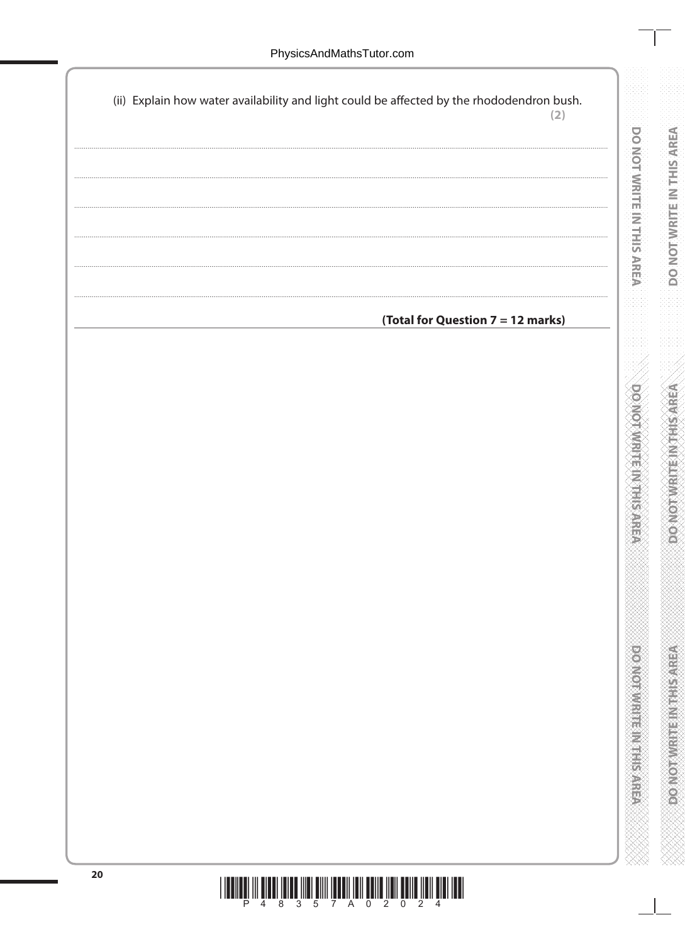| (ii) Explain how water availability and light could be affected by the rhododendron bush. | (2) |
|-------------------------------------------------------------------------------------------|-----|
|                                                                                           | .   |
|                                                                                           |     |
|                                                                                           |     |
|                                                                                           |     |
|                                                                                           |     |
|                                                                                           |     |
|                                                                                           |     |
|                                                                                           |     |
| (Total for Question 7 = 12 marks)                                                         |     |
|                                                                                           |     |
|                                                                                           |     |
|                                                                                           |     |
|                                                                                           |     |
|                                                                                           |     |
|                                                                                           |     |
|                                                                                           |     |
|                                                                                           |     |
|                                                                                           |     |
|                                                                                           |     |
|                                                                                           |     |
|                                                                                           |     |
|                                                                                           |     |
|                                                                                           |     |
|                                                                                           |     |
|                                                                                           |     |
|                                                                                           |     |
|                                                                                           |     |
|                                                                                           |     |
|                                                                                           |     |
|                                                                                           |     |
|                                                                                           |     |
|                                                                                           |     |
|                                                                                           |     |
|                                                                                           |     |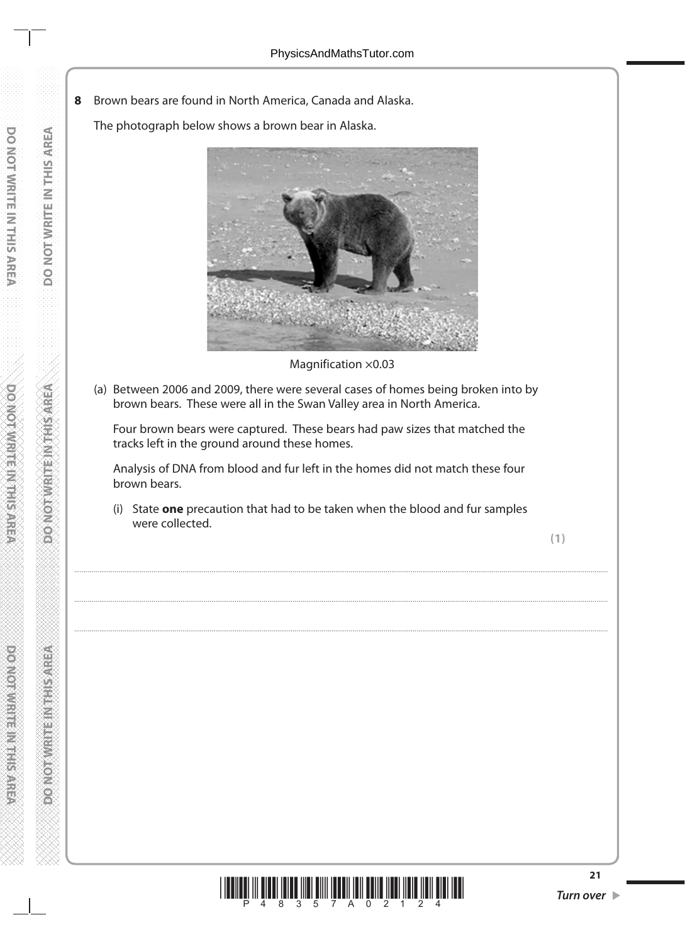**8** Brown bears are found in North America, Canada and Alaska.

The photograph below shows a brown bear in Alaska.



Magnification ×0.03

(a) Between 2006 and 2009, there were several cases of homes being broken into by brown bears. These were all in the Swan Valley area in North America.

 Four brown bears were captured. These bears had paw sizes that matched the tracks left in the ground around these homes.

 Analysis of DNA from blood and fur left in the homes did not match these four brown bears.

 (i) State **one** precaution that had to be taken when the blood and fur samples were collected.

....................................................................................................................................................................................................................................................................................

....................................................................................................................................................................................................................................................................................

....................................................................................................................................................................................................................................................................................



**RESIDENT RESIDENCE**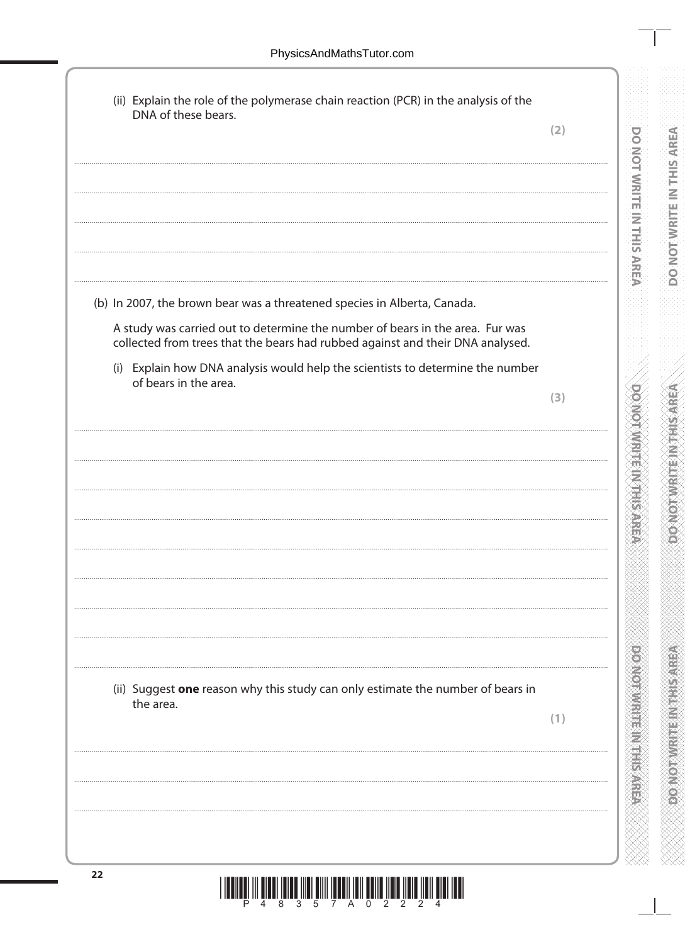**10000000** 

| DNA of these bears.                                                                                                                                             | (2) |
|-----------------------------------------------------------------------------------------------------------------------------------------------------------------|-----|
|                                                                                                                                                                 |     |
|                                                                                                                                                                 |     |
|                                                                                                                                                                 |     |
|                                                                                                                                                                 |     |
|                                                                                                                                                                 |     |
|                                                                                                                                                                 |     |
| (b) In 2007, the brown bear was a threatened species in Alberta, Canada.                                                                                        |     |
| A study was carried out to determine the number of bears in the area. Fur was<br>collected from trees that the bears had rubbed against and their DNA analysed. |     |
| (i) Explain how DNA analysis would help the scientists to determine the number                                                                                  |     |
| of bears in the area.                                                                                                                                           | (3) |
|                                                                                                                                                                 |     |
|                                                                                                                                                                 |     |
|                                                                                                                                                                 |     |
|                                                                                                                                                                 |     |
|                                                                                                                                                                 |     |
|                                                                                                                                                                 |     |
|                                                                                                                                                                 |     |
|                                                                                                                                                                 |     |
|                                                                                                                                                                 |     |
|                                                                                                                                                                 |     |
|                                                                                                                                                                 |     |
| (ii) Suggest one reason why this study can only estimate the number of bears in                                                                                 |     |
| the area.                                                                                                                                                       |     |
|                                                                                                                                                                 | (1) |
|                                                                                                                                                                 |     |
|                                                                                                                                                                 |     |
|                                                                                                                                                                 |     |
|                                                                                                                                                                 |     |
|                                                                                                                                                                 |     |

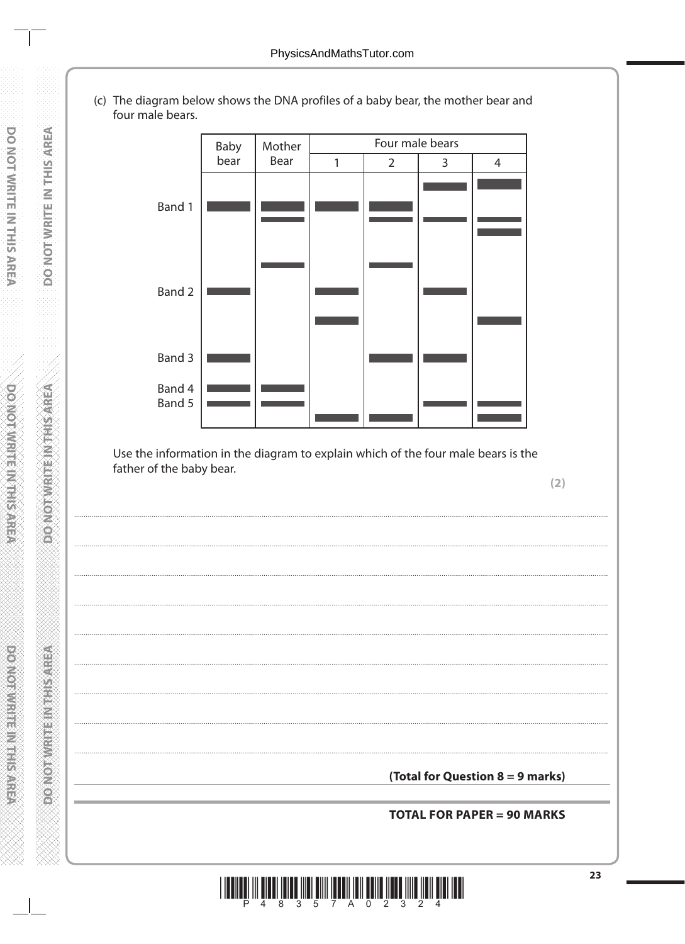(c) The diagram below shows the DNA profiles of a baby bear, the mother bear and four male bears.

**DO NOT WRITE IN THIS AREA** 

**DONOT WRITE IN THIS AREA** 

**PONOT WRITEIN THIS AREA** 



Use the information in the diagram to explain which of the four male bears is the father of the baby bear.

 $(2)$ 

(Total for Question 8 = 9 marks)

**TOTAL FOR PAPER = 90 MARKS**